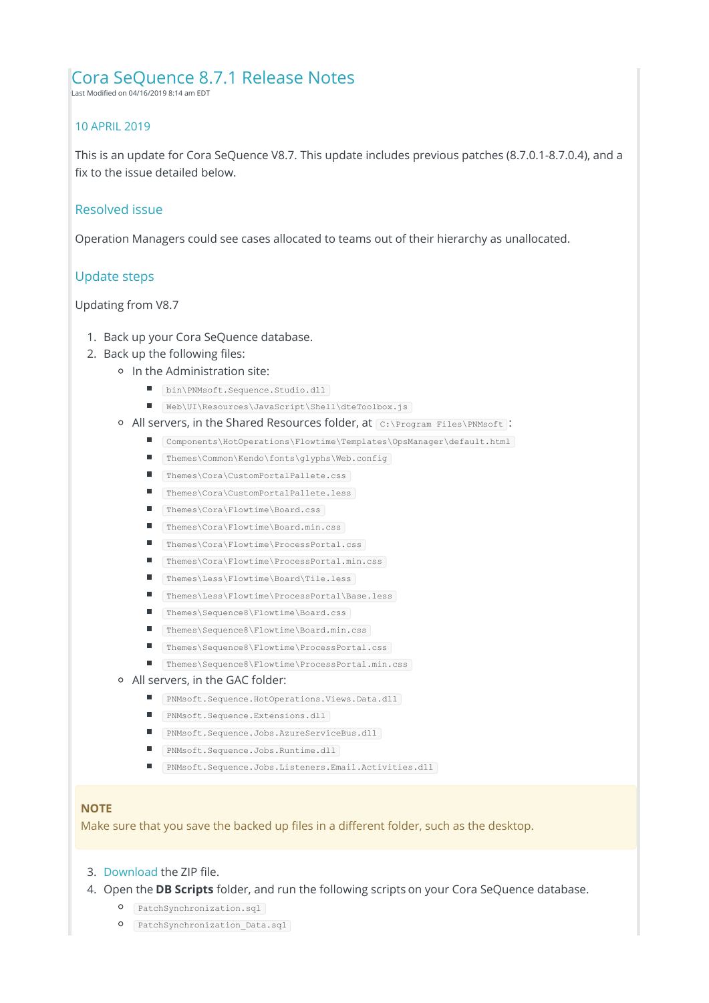# Cora SeQuence 8.7.1 Release Notes

Last Modified on 04/16/2019 8:14 am EDT

## 10 APRIL 2019

This is an update for Cora SeQuence V8.7. This update includes previous patches (8.7.0.1-8.7.0.4), and a fix to the issue detailed below.

### Resolved issue

Operation Managers could see cases allocated to teams out of their hierarchy as unallocated.

## Update steps

Updating from V8.7

- 1. Back up your Cora SeQuence database.
- 2. Back up the following files:
	- o In the Administration site:
		- bin\PNMsoft.Sequence.Studio.dll
		- Web\UI\Resources\JavaScript\Shell\dteToolbox.js
	- o All servers, in the Shared Resources folder, at C:\Program Files\PNMsoft :
		- Components\HotOperations\Flowtime\Templates\OpsManager\default.html
		- Themes\Common\Kendo\fonts\glyphs\Web.config
		- Themes\Cora\CustomPortalPallete.css
		- Themes\Cora\CustomPortalPallete.less
		- Themes\Cora\Flowtime\Board.css
		- Themes\Cora\Flowtime\Board.min.css
		- Themes\Cora\Flowtime\ProcessPortal.css
		- Themes\Cora\Flowtime\ProcessPortal.min.css
		- Themes\Less\Flowtime\Board\Tile.less
		- Themes\Less\Flowtime\ProcessPortal\Base.less
		- Themes\Sequence8\Flowtime\Board.css
		- Themes\Sequence8\Flowtime\Board.min.css
		- $\blacksquare$ Themes\Sequence8\Flowtime\ProcessPortal.css
		- Themes\Sequence8\Flowtime\ProcessPortal.min.css
	- All servers, in the GAC folder:
		- PNMsoft.Sequence.HotOperations.Views.Data.dll
		- PNMsoft.Sequence.Extensions.dll
		- PNMsoft.Sequence.Jobs.AzureServiceBus.dll
		- PNMsoft.Sequence.Jobs.Runtime.dll
		- PNMsoft.Sequence.Jobs.Listeners.Email.Activities.dll

#### **NOTE**

Make sure that you save the backed up files in a different folder, such as the desktop.

#### 3. Download the ZIP file.

- 4. Open the **DB Scripts** folder, and run the following scripts on your Cora SeQuence database.
	- O PatchSynchronization.sql
	- O **PatchSynchronization Data.sql**